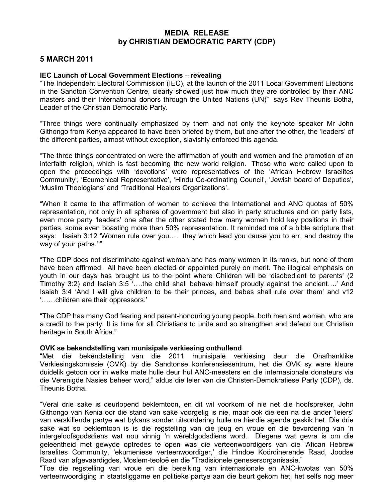## MEDIA RELEASE by CHRISTIAN DEMOCRATIC PARTY (CDP)

## 5 MARCH 2011

## IEC Launch of Local Government Elections – revealing

"The Independent Electoral Commission (IEC), at the launch of the 2011 Local Government Elections in the Sandton Convention Centre, clearly showed just how much they are controlled by their ANC masters and their International donors through the United Nations (UN)" says Rev Theunis Botha, Leader of the Christian Democratic Party.

"Three things were continually emphasized by them and not only the keynote speaker Mr John Githongo from Kenya appeared to have been briefed by them, but one after the other, the 'leaders' of the different parties, almost without exception, slavishly enforced this agenda.

"The three things concentrated on were the affirmation of youth and women and the promotion of an interfaith religion, which is fast becoming the new world religion. Those who were called upon to open the proceedings with 'devotions' were representatives of the 'African Hebrew Israelites Community', 'Ecumenical Representative', 'Hindu Co-ordinating Council', 'Jewish board of Deputies', 'Muslim Theologians' and 'Traditional Healers Organizations'.

"When it came to the affirmation of women to achieve the International and ANC quotas of 50% representation, not only in all spheres of government but also in party structures and on party lists, even more party 'leaders' one after the other stated how many women hold key positions in their parties, some even boasting more than 50% representation. It reminded me of a bible scripture that says: Isaiah 3:12 'Women rule over you…. they which lead you cause you to err, and destroy the way of your paths.' "

"The CDP does not discriminate against woman and has many women in its ranks, but none of them have been affirmed. All have been elected or appointed purely on merit. The illogical emphasis on youth in our days has brought us to the point where Children will be 'disobedient to parents' (2 Timothy 3:2) and Isaiah 3:5 '….the child shall behave himself proudly against the ancient….' And Isaiah 3:4 'And I will give children to be their princes, and babes shall rule over them' and v12 '……children are their oppressors.'

"The CDP has many God fearing and parent-honouring young people, both men and women, who are a credit to the party. It is time for all Christians to unite and so strengthen and defend our Christian heritage in South Africa."

## OVK se bekendstelling van munisipale verkiesing onthullend

"Met die bekendstelling van die 2011 munisipale verkiesing deur die Onafhanklike Verkiesingskomissie (OVK) by die Sandtonse konferensiesentrum, het die OVK sy ware kleure duidelik getoon oor in welke mate hulle deur hul ANC-meesters en die internasionale donateurs via die Verenigde Nasies beheer word," aldus die leier van die Christen-Demokratiese Party (CDP), ds. Theunis Botha.

"Veral drie sake is deurlopend beklemtoon, en dit wil voorkom of nie net die hoofspreker, John Githongo van Kenia oor die stand van sake voorgelig is nie, maar ook die een na die ander 'leiers' van verskillende partye wat bykans sonder uitsondering hulle na hierdie agenda geskik het. Die drie sake wat so beklemtoon is is die regstelling van die jeug en vroue en die bevordering van 'n intergeloofsgodsdiens wat nou vinnig 'n wêreldgodsdiens word. Diegene wat gevra is om die geleentheid met gewyde optredes te open was die verteenwoordigers van die 'Afican Hebrew Israelites Community, 'ekumeniese verteenwoordiger,' die Hindoe Koördinerende Raad, Joodse Raad van afgevaardigdes, Moslem-teoloë en die "Tradisionele genesersorganisasie."

"Toe die regstelling van vroue en die bereiking van internasionale en ANC-kwotas van 50% verteenwoordiging in staatsliggame en politieke partye aan die beurt gekom het, het selfs nog meer